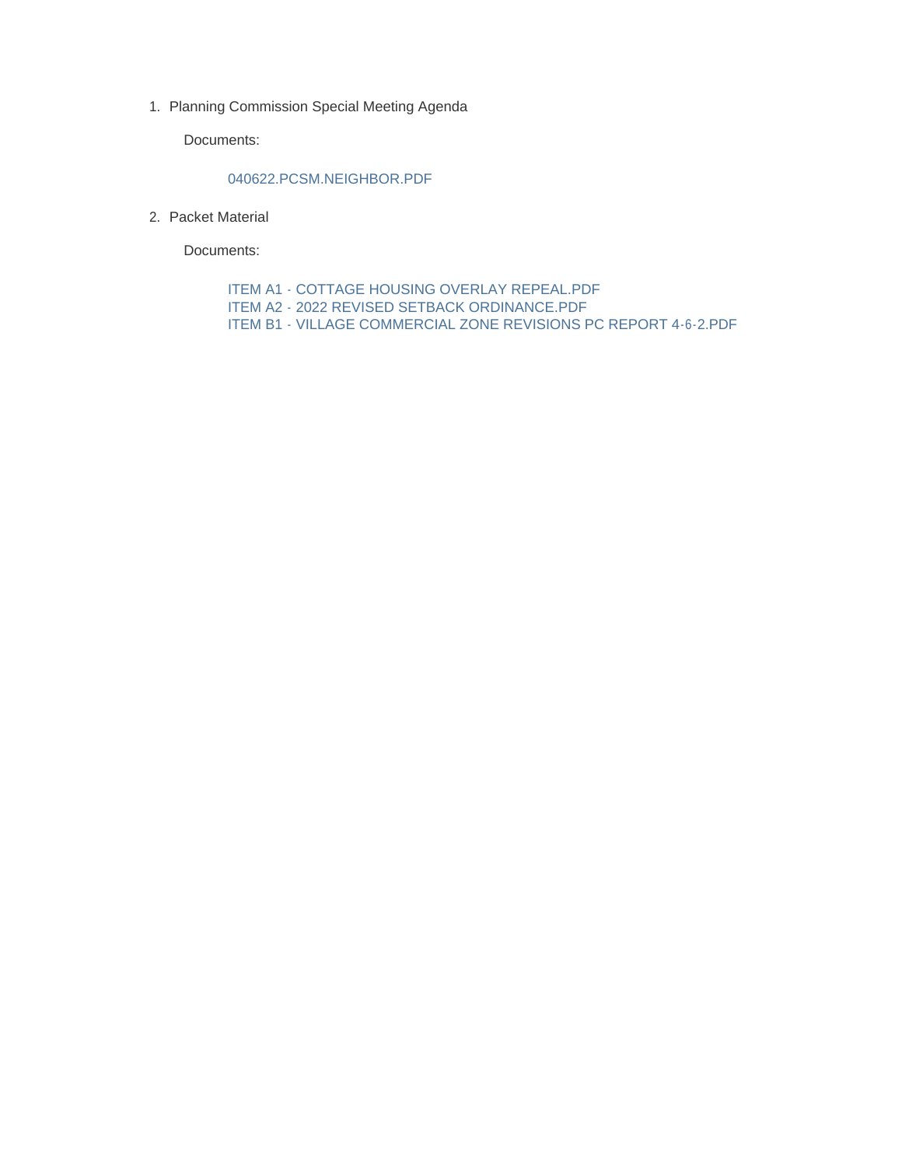1. Planning Commission Special Meeting Agenda

Documents:

#### 040622.PCSM.NEIGHBOR.PDF

2. Packet Material

Documents:

ITEM A1 - COTTAGE HOUSING OVERLAY REPEAL.PDF ITEM A2 - 2022 REVISED SETBACK ORDINANCE.PDF ITEM B1 - VILLAGE COMMERCIAL ZONE REVISIONS PC REPORT 4-6-2.PDF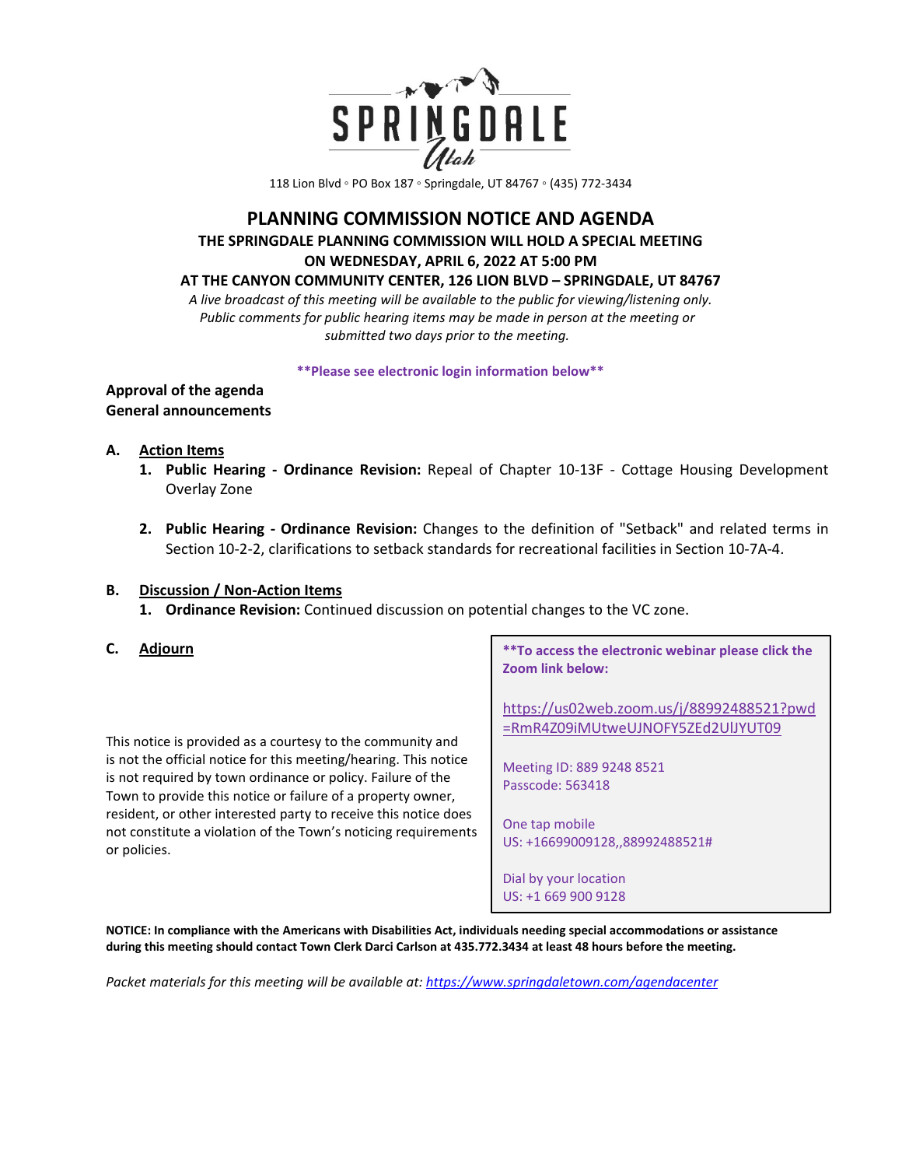

118 Lion Blvd ◦ PO Box 187 ◦ Springdale, UT 84767 ◦ (435) 772-3434

# **PLANNING COMMISSION NOTICE AND AGENDA THE SPRINGDALE PLANNING COMMISSION WILL HOLD A SPECIAL MEETING ON WEDNESDAY, APRIL 6, 2022 AT 5:00 PM**

#### **AT THE CANYON COMMUNITY CENTER, 126 LION BLVD – SPRINGDALE, UT 84767**

*A live broadcast of this meeting will be available to the public for viewing/listening only. Public comments for public hearing items may be made in person at the meeting or submitted two days prior to the meeting.* 

**\*\*Please see electronic login information below\*\***

#### **Approval of the agenda General announcements**

## **A. Action Items**

- **1. Public Hearing - Ordinance Revision:** Repeal of Chapter 10-13F Cottage Housing Development Overlay Zone
- **2. Public Hearing - Ordinance Revision:** Changes to the definition of "Setback" and related terms in Section 10-2-2, clarifications to setback standards for recreational facilities in Section 10-7A-4.

#### **B. Discussion / Non-Action Items**

**1. Ordinance Revision:** Continued discussion on potential changes to the VC zone.

## **C. Adjourn**

This notice is provided as a courtesy to the community and is not the official notice for this meeting/hearing. This notice is not required by town ordinance or policy. Failure of the Town to provide this notice or failure of a property owner, resident, or other interested party to receive this notice does not constitute a violation of the Town's noticing requirements or policies.

**\*\*To access the electronic webinar please click the Zoom link below:** 

[https://us02web.zoom.us/j/88992488521?pwd](https://us02web.zoom.us/j/88992488521?pwd=RmR4Z09iMUtweUJNOFY5ZEd2UlJYUT09) [=RmR4Z09iMUtweUJNOFY5ZEd2UlJYUT09](https://us02web.zoom.us/j/88992488521?pwd=RmR4Z09iMUtweUJNOFY5ZEd2UlJYUT09)

Meeting ID: 889 9248 8521 Passcode: 563418

One tap mobile US: +16699009128,,88992488521#

Dial by your location US: +1 669 900 9128

**NOTICE: In compliance with the Americans with Disabilities Act, individuals needing special accommodations or assistance during this meeting should contact Town Clerk Darci Carlson at 435.772.3434 at least 48 hours before the meeting.** 

*Packet materials for this meeting will be available at[: https://www.springdaletown.com/agendacenter](https://www.springdaletown.com/agendacenter)*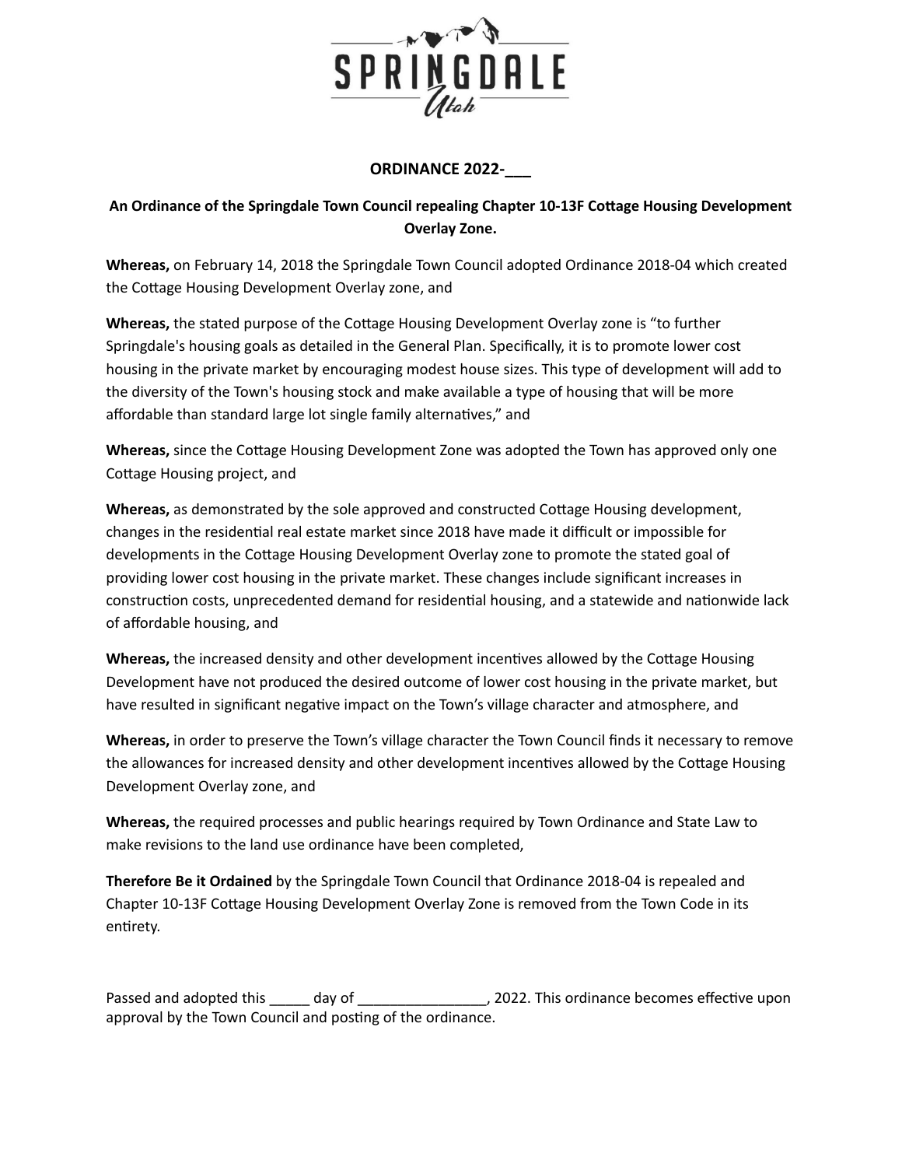

## **ORDINANCE 2022-\_\_\_**

# **An Ordinance of the Springdale Town Council repealing Chapter 10-13F Coage Housing Development Overlay Zone.**

**Whereas,** on February 14, 2018 the Springdale Town Council adopted Ordinance 2018-04 which created the Cottage Housing Development Overlay zone, and

**Whereas, the stated purpose of the Cottage Housing Development Overlay zone is "to further** Springdale's housing goals as detailed in the General Plan. Specifically, it is to promote lower cost housing in the private market by encouraging modest house sizes. This type of development will add to the diversity of the Town's housing stock and make available a type of housing that will be more affordable than standard large lot single family alternatives," and

**Whereas,** since the Cottage Housing Development Zone was adopted the Town has approved only one Cottage Housing project, and

**Whereas,** as demonstrated by the sole approved and constructed Cottage Housing development, changes in the residential real estate market since 2018 have made it difficult or impossible for developments in the Cottage Housing Development Overlay zone to promote the stated goal of providing lower cost housing in the private market. These changes include significant increases in construction costs, unprecedented demand for residential housing, and a statewide and nationwide lack of affordable housing, and

**Whereas,** the increased density and other development incentives allowed by the Cottage Housing Development have not produced the desired outcome of lower cost housing in the private market, but have resulted in significant negative impact on the Town's village character and atmosphere, and

**Whereas,** in order to preserve the Town's village character the Town Council finds it necessary to remove the allowances for increased density and other development incentives allowed by the Cottage Housing Development Overlay zone, and

**Whereas,** the required processes and public hearings required by Town Ordinance and State Law to make revisions to the land use ordinance have been completed,

**Therefore Be it Ordained** by the Springdale Town Council that Ordinance 2018-04 is repealed and Chapter 10-13F Cottage Housing Development Overlay Zone is removed from the Town Code in its entirety.

Passed and adopted this day of the state of the secomes effective upon approval by the Town Council and posting of the ordinance.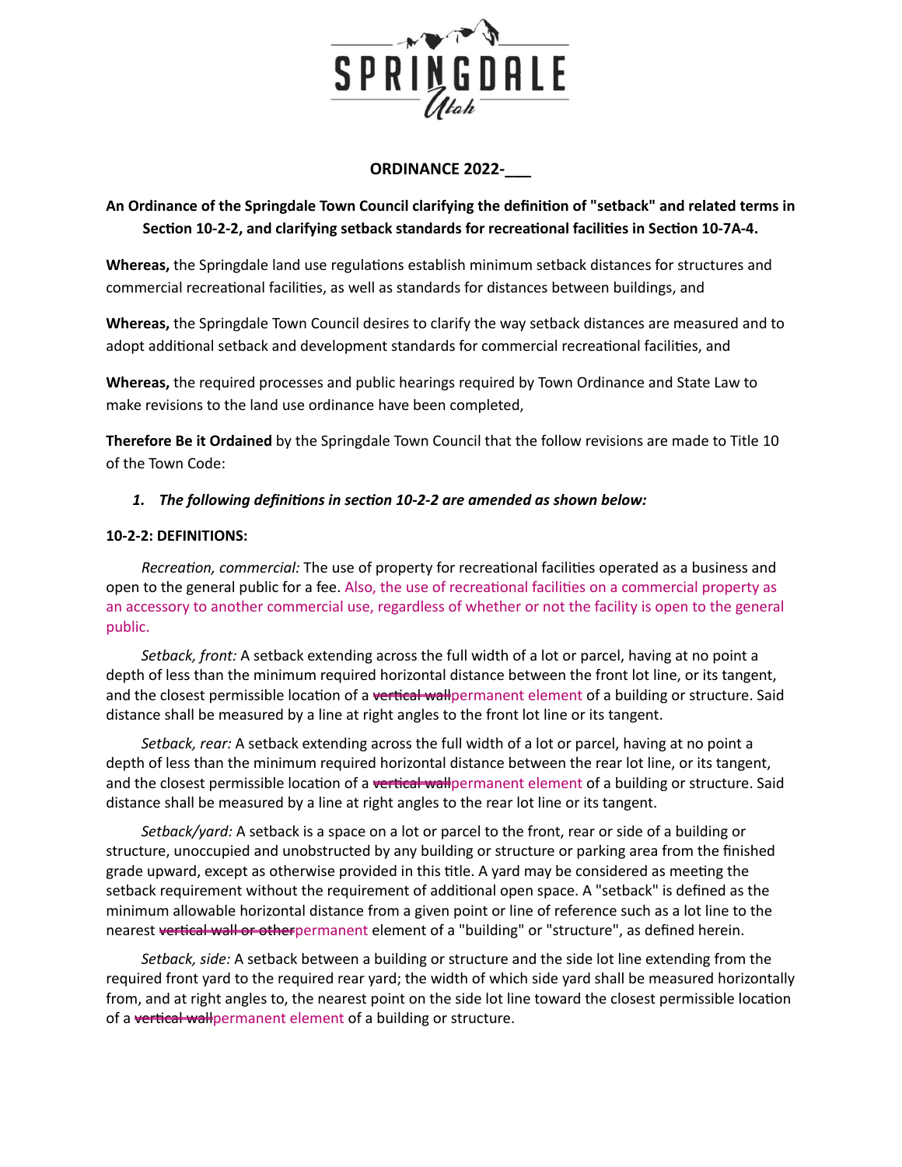

## **ORDINANCE 2022-\_\_\_**

# **An Ordinance of the Springdale Town Council clarifying the definion of "setback" and related terms in Section 10-2-2, and clarifying setback standards for recreational facilities in Section 10-7A-4.**

**Whereas,** the Springdale land use regulations establish minimum setback distances for structures and commercial recreational facilities, as well as standards for distances between buildings, and

**Whereas,** the Springdale Town Council desires to clarify the way setback distances are measured and to adopt additional setback and development standards for commercial recreational facilities, and

**Whereas,** the required processes and public hearings required by Town Ordinance and State Law to make revisions to the land use ordinance have been completed,

**Therefore Be it Ordained** by the Springdale Town Council that the follow revisions are made to Title 10 of the Town Code:

## *1. The following definions in secon 10-2-2 are amended as shown below:*

#### **10-2-2: DEFINITIONS:**

*Recreation, commercial:* The use of property for recreational facilities operated as a business and open to the general public for a fee. Also, the use of recreational facilities on a commercial property as an accessory to another commercial use, regardless of whether or not the facility is open to the general public.

*Setback, front:* A setback extending across the full width of a lot or parcel, having at no point a depth of less than the minimum required horizontal distance between the front lot line, or its tangent, and the closest permissible location of a vertical wallpermanent element of a building or structure. Said distance shall be measured by a line at right angles to the front lot line or its tangent.

*Setback, rear:* A setback extending across the full width of a lot or parcel, having at no point a depth of less than the minimum required horizontal distance between the rear lot line, or its tangent, and the closest permissible location of a vertical wallpermanent element of a building or structure. Said distance shall be measured by a line at right angles to the rear lot line or its tangent.

*Setback/yard:* A setback is a space on a lot or parcel to the front, rear or side of a building or structure, unoccupied and unobstructed by any building or structure or parking area from the finished grade upward, except as otherwise provided in this title. A yard may be considered as meeting the setback requirement without the requirement of additional open space. A "setback" is defined as the minimum allowable horizontal distance from a given point or line of reference such as a lot line to the nearest vertical wall or otherpermanent element of a "building" or "structure", as defined herein.

*Setback, side:* A setback between a building or structure and the side lot line extending from the required front yard to the required rear yard; the width of which side yard shall be measured horizontally from, and at right angles to, the nearest point on the side lot line toward the closest permissible location of a vertical wall permanent element of a building or structure.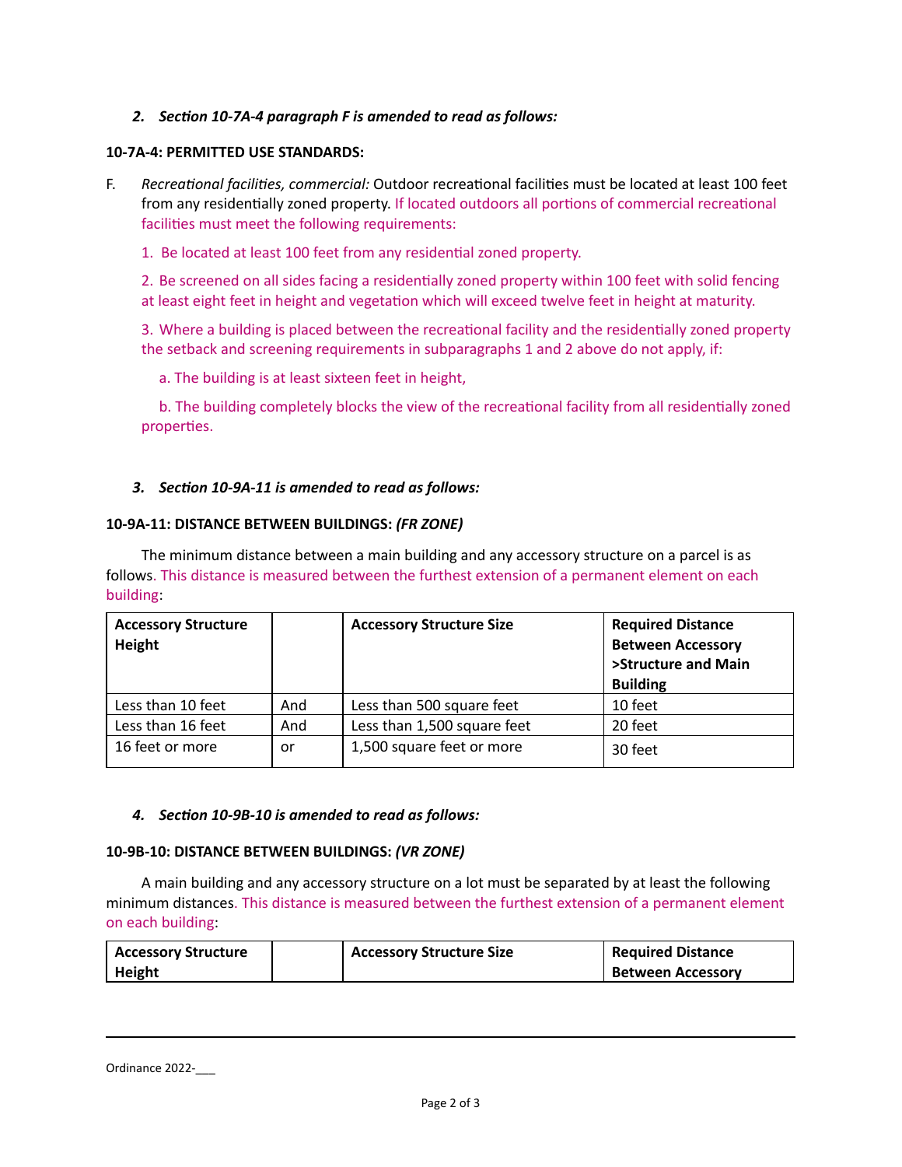## *2. Secon 10-7A-4 paragraph F is amended to read as follows:*

#### **10-7A-4: PERMITTED USE STANDARDS:**

F. Recreational facilities, commercial: Outdoor recreational facilities must be located at least 100 feet from any residentially zoned property. If located outdoors all portions of commercial recreational facilities must meet the following requirements:

1. Be located at least 100 feet from any residential zoned property.

2. Be screened on all sides facing a residentially zoned property within 100 feet with solid fencing at least eight feet in height and vegetation which will exceed twelve feet in height at maturity.

3. Where a building is placed between the recreational facility and the residentially zoned property the setback and screening requirements in subparagraphs 1 and 2 above do not apply, if:

a. The building is at least sixteen feet in height,

b. The building completely blocks the view of the recreational facility from all residentially zoned properties.

## *3. Secon 10-9A-11 is amended to read as follows:*

#### **10-9A-11: DISTANCE BETWEEN BUILDINGS:** *(FR ZONE)*

The minimum distance between a main building and any accessory structure on a parcel is as follows. This distance is measured between the furthest extension of a permanent element on each building:

| <b>Accessory Structure</b><br>Height |     | <b>Accessory Structure Size</b> | <b>Required Distance</b><br><b>Between Accessory</b><br>>Structure and Main<br><b>Building</b> |
|--------------------------------------|-----|---------------------------------|------------------------------------------------------------------------------------------------|
| Less than 10 feet                    | And | Less than 500 square feet       | 10 feet                                                                                        |
| Less than 16 feet                    | And | Less than 1,500 square feet     | 20 feet                                                                                        |
| 16 feet or more                      | or  | 1,500 square feet or more       | 30 feet                                                                                        |

#### *4. Secon 10-9B-10 is amended to read as follows:*

#### **10-9B-10: DISTANCE BETWEEN BUILDINGS:** *(VR ZONE)*

A main building and any accessory structure on a lot must be separated by at least the following minimum distances. This distance is measured between the furthest extension of a permanent element on each building:

| <b>Accessory Structure</b> | <b>Accessory Structure Size</b> | <b>Required Distance</b> |
|----------------------------|---------------------------------|--------------------------|
| <b>Height</b>              |                                 | <b>Between Accessory</b> |

Ordinance 2022-\_\_\_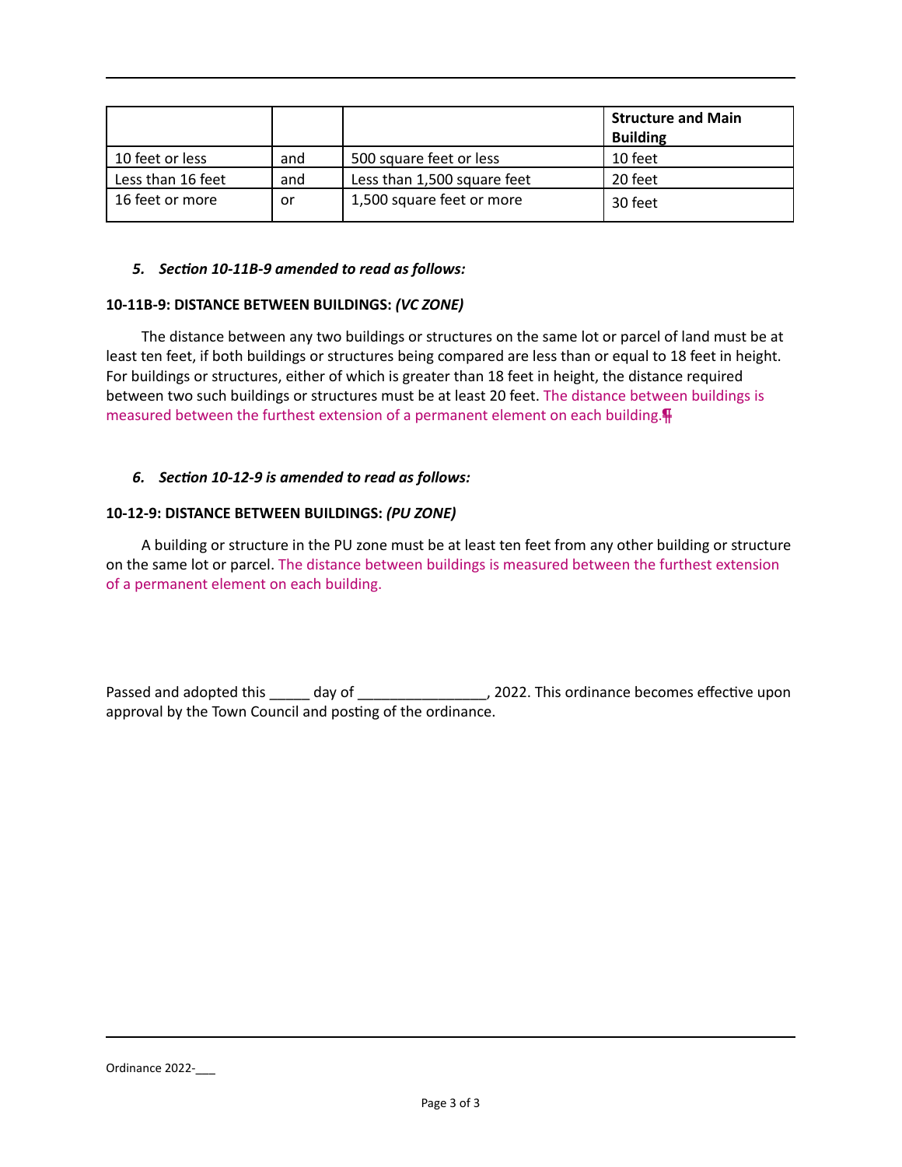|                   |     |                             | <b>Structure and Main</b><br><b>Building</b> |
|-------------------|-----|-----------------------------|----------------------------------------------|
| 10 feet or less   | and | 500 square feet or less     | 10 feet                                      |
| Less than 16 feet | and | Less than 1,500 square feet | 20 feet                                      |
| 16 feet or more   | or  | 1,500 square feet or more   | 30 feet                                      |

#### *5. Secon 10-11B-9 amended to read as follows:*

### **10-11B-9: DISTANCE BETWEEN BUILDINGS:** *(VC ZONE)*

The distance between any two buildings or structures on the same lot or parcel of land must be at least ten feet, if both buildings or structures being compared are less than or equal to 18 feet in height. For buildings or structures, either of which is greater than 18 feet in height, the distance required between two such buildings or structures must be at least 20 feet. The distance between buildings is measured between the furthest extension of a permanent element on each building.¶

## *6. Secon 10-12-9 is amended to read as follows:*

#### **10-12-9: DISTANCE BETWEEN BUILDINGS:** *(PU ZONE)*

A building or structure in the PU zone must be at least ten feet from any other building or structure on the same lot or parcel. The distance between buildings is measured between the furthest extension of a permanent element on each building.

Passed and adopted this \_\_\_\_\_ day of \_\_\_\_\_\_\_\_\_\_\_\_\_\_\_\_\_, 2022. This ordinance becomes effective upon approval by the Town Council and posting of the ordinance.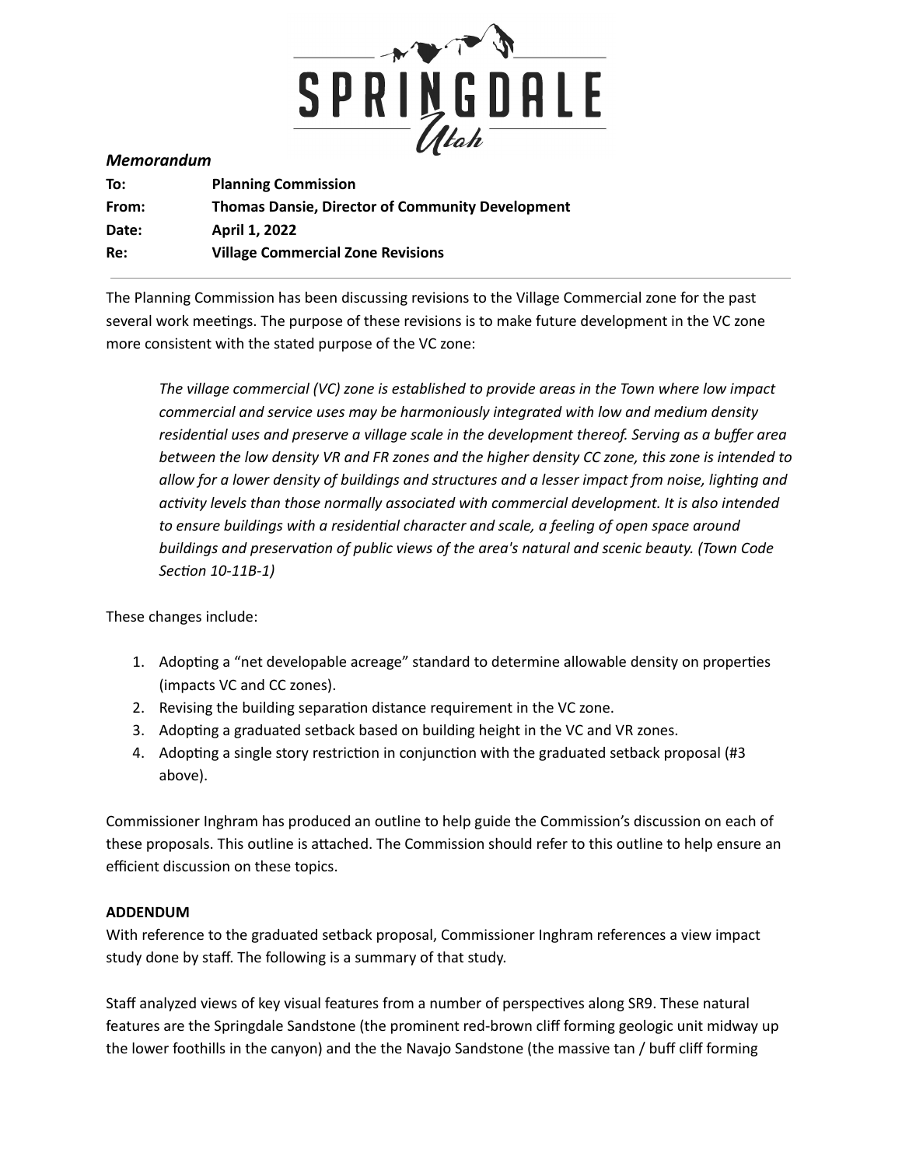

#### *Memorandum*

| To:   | <b>Planning Commission</b>                              |
|-------|---------------------------------------------------------|
| From: | <b>Thomas Dansie, Director of Community Development</b> |
| Date: | April 1, 2022                                           |
| Re:   | <b>Village Commercial Zone Revisions</b>                |

The Planning Commission has been discussing revisions to the Village Commercial zone for the past several work meetings. The purpose of these revisions is to make future development in the VC zone more consistent with the stated purpose of the VC zone:

*The village commercial (VC) zone is established to provide areas in the Town where low impact commercial and service uses may be harmoniously integrated with low and medium density residenal uses and preserve a village scale in the development thereof. Serving as a buffer area* between the low density VR and FR zones and the higher density CC zone, this zone is intended to *allow* for a lower density of buildings and structures and a lesser impact from noise, lighting and *acvity levels than those normally associated with commercial development. It is also intended to ensure buildings with a residenal character and scale, a feeling of open space around buildings and preservaon of public views of the area's natural and scenic beauty. (Town Code Secon 10-11B-1)*

These changes include:

- 1. Adopting a "net developable acreage" standard to determine allowable density on properties (impacts VC and CC zones).
- 2. Revising the building separation distance requirement in the VC zone.
- 3. Adopting a graduated setback based on building height in the VC and VR zones.
- 4. Adopting a single story restriction in conjunction with the graduated setback proposal (#3 above).

Commissioner Inghram has produced an outline to help guide the Commission's discussion on each of these proposals. This outline is attached. The Commission should refer to this outline to help ensure an efficient discussion on these topics.

## **ADDENDUM**

With reference to the graduated setback proposal, Commissioner Inghram references a view impact study done by staff. The following is a summary of that study.

Staff analyzed views of key visual features from a number of perspectives along SR9. These natural features are the Springdale Sandstone (the prominent red-brown cliff forming geologic unit midway up the lower foothills in the canyon) and the the Navajo Sandstone (the massive tan / buff cliff forming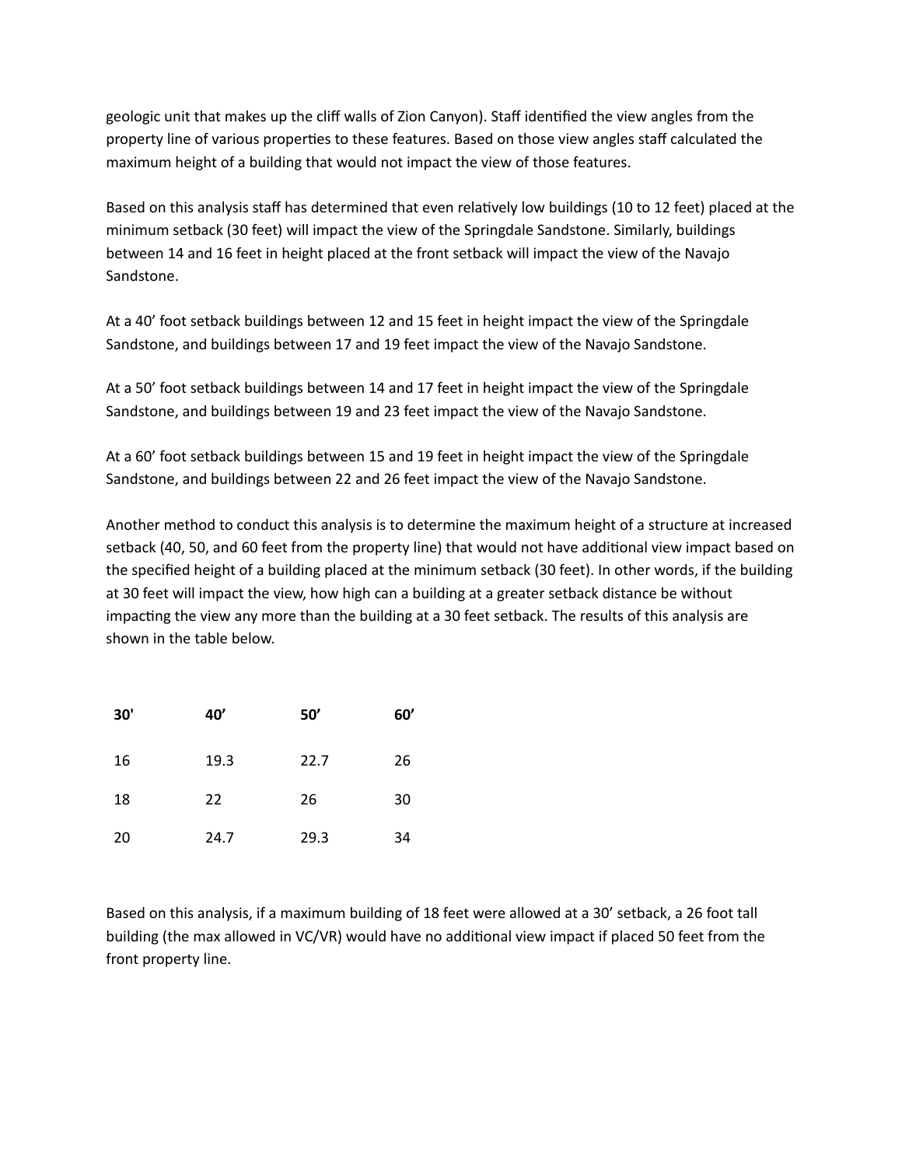geologic unit that makes up the cliff walls of Zion Canyon). Staff idenfied the view angles from the property line of various properties to these features. Based on those view angles staff calculated the maximum height of a building that would not impact the view of those features.

Based on this analysis staff has determined that even relatively low buildings (10 to 12 feet) placed at the minimum setback (30 feet) will impact the view of the Springdale Sandstone. Similarly, buildings between 14 and 16 feet in height placed at the front setback will impact the view of the Navajo Sandstone.

At a 40' foot setback buildings between 12 and 15 feet in height impact the view of the Springdale Sandstone, and buildings between 17 and 19 feet impact the view of the Navajo Sandstone.

At a 50' foot setback buildings between 14 and 17 feet in height impact the view of the Springdale Sandstone, and buildings between 19 and 23 feet impact the view of the Navajo Sandstone.

At a 60' foot setback buildings between 15 and 19 feet in height impact the view of the Springdale Sandstone, and buildings between 22 and 26 feet impact the view of the Navajo Sandstone.

Another method to conduct this analysis is to determine the maximum height of a structure at increased setback (40, 50, and 60 feet from the property line) that would not have additional view impact based on the specified height of a building placed at the minimum setback (30 feet). In other words, if the building at 30 feet will impact the view, how high can a building at a greater setback distance be without impacting the view any more than the building at a 30 feet setback. The results of this analysis are shown in the table below.

| 30' | 40'  | 50'  | 60' |
|-----|------|------|-----|
| 16  | 19.3 | 22.7 | 26  |
| 18  | 22   | 26   | 30  |
| 20  | 24.7 | 29.3 | 34  |

Based on this analysis, if a maximum building of 18 feet were allowed at a 30' setback, a 26 foot tall building (the max allowed in VC/VR) would have no additional view impact if placed 50 feet from the front property line.